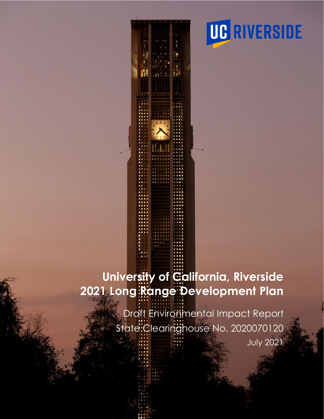

# **University of California, Riverside 2021 Long Range Development Plan**

Draft Environmental Impact Report State: Clearinghouse No. 2020070120 July 2021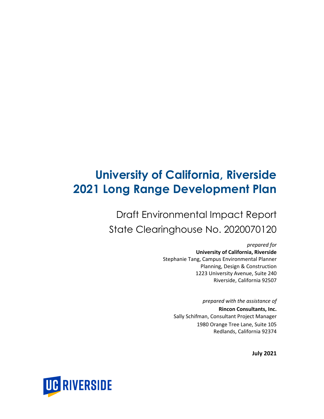## **University of California, Riverside 2021 Long Range Development Plan**

Draft Environmental Impact Report State Clearinghouse No. 2020070120

> *prepared for* **University of California, Riverside** Stephanie Tang, Campus Environmental Planner Planning, Design & Construction 1223 University Avenue, Suite 240 Riverside, California 92507

*prepared with the assistance of* **Rincon Consultants, Inc.** Sally Schifman, Consultant Project Manager 1980 Orange Tree Lane, Suite 105 Redlands, California 92374

**July 2021**

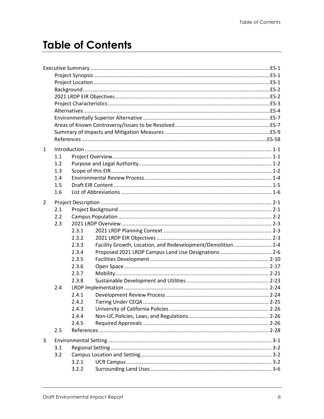### **Table of Contents**

| $\mathbf{1}$   |     |       |                                                             |  |
|----------------|-----|-------|-------------------------------------------------------------|--|
|                | 1.1 |       |                                                             |  |
|                | 1.2 |       |                                                             |  |
|                | 1.3 |       |                                                             |  |
|                | 1.4 |       |                                                             |  |
|                | 1.5 |       |                                                             |  |
|                | 1.6 |       |                                                             |  |
|                |     |       |                                                             |  |
| $\overline{2}$ |     |       |                                                             |  |
|                | 2.1 |       |                                                             |  |
|                | 2.2 |       |                                                             |  |
|                | 2.3 |       |                                                             |  |
|                |     | 2.3.1 |                                                             |  |
|                |     | 2.3.2 |                                                             |  |
|                |     | 2.3.3 | Facility Growth, Location, and Redevelopment/Demolition 2-4 |  |
|                |     | 2.3.4 | Proposed 2021 LRDP Campus Land Use Designations  2-6        |  |
|                |     | 2.3.5 |                                                             |  |
|                |     | 2.3.6 |                                                             |  |
|                |     | 2.3.7 |                                                             |  |
|                |     | 2.3.8 |                                                             |  |
|                | 2.4 |       |                                                             |  |
|                |     | 2.4.1 |                                                             |  |
|                |     | 2.4.2 |                                                             |  |
|                |     | 2.4.3 |                                                             |  |
|                |     | 2.4.4 |                                                             |  |
|                |     | 2.4.5 |                                                             |  |
|                | 2.5 |       |                                                             |  |
| 3              |     |       |                                                             |  |
|                | 3.1 |       |                                                             |  |
|                | 3.2 |       |                                                             |  |
|                |     | 3.2.1 |                                                             |  |
|                |     | 3.2.2 |                                                             |  |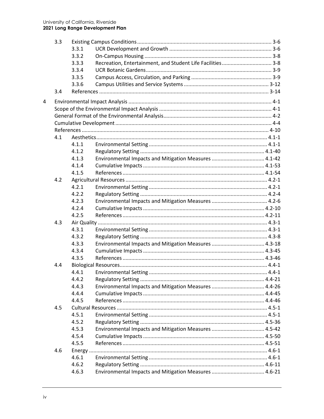|   | 3.3 |       |                                                            |  |
|---|-----|-------|------------------------------------------------------------|--|
|   |     | 3.3.1 |                                                            |  |
|   |     | 3.3.2 |                                                            |  |
|   |     | 3.3.3 | Recreation, Entertainment, and Student Life Facilities 3-8 |  |
|   |     | 3.3.4 |                                                            |  |
|   |     | 3.3.5 |                                                            |  |
|   |     | 3.3.6 |                                                            |  |
|   | 3.4 |       |                                                            |  |
| 4 |     |       |                                                            |  |
|   |     |       |                                                            |  |
|   |     |       |                                                            |  |
|   |     |       |                                                            |  |
|   |     |       |                                                            |  |
|   | 4.1 |       |                                                            |  |
|   |     | 4.1.1 |                                                            |  |
|   |     | 4.1.2 |                                                            |  |
|   |     | 4.1.3 | Environmental Impacts and Mitigation Measures  4.1-42      |  |
|   |     | 4.1.4 |                                                            |  |
|   |     | 4.1.5 |                                                            |  |
|   | 4.2 |       |                                                            |  |
|   |     | 4.2.1 |                                                            |  |
|   |     | 4.2.2 |                                                            |  |
|   |     | 4.2.3 |                                                            |  |
|   |     | 4.2.4 |                                                            |  |
|   |     | 4.2.5 |                                                            |  |
|   | 4.3 |       |                                                            |  |
|   |     | 4.3.1 |                                                            |  |
|   |     | 4.3.2 |                                                            |  |
|   |     | 4.3.3 | Environmental Impacts and Mitigation Measures  4.3-18      |  |
|   |     | 4.3.4 |                                                            |  |
|   |     | 4.3.5 |                                                            |  |
|   | 4.4 |       |                                                            |  |
|   |     | 4.4.1 |                                                            |  |
|   |     | 4.4.2 |                                                            |  |
|   |     | 4.4.3 | Environmental Impacts and Mitigation Measures  4.4-26      |  |
|   |     | 4.4.4 |                                                            |  |
|   |     | 4.4.5 |                                                            |  |
|   | 4.5 |       |                                                            |  |
|   |     | 4.5.1 |                                                            |  |
|   |     | 4.5.2 |                                                            |  |
|   |     | 4.5.3 | Environmental Impacts and Mitigation Measures  4.5-42      |  |
|   |     | 4.5.4 |                                                            |  |
|   |     | 4.5.5 |                                                            |  |
|   | 4.6 |       |                                                            |  |
|   |     | 4.6.1 |                                                            |  |
|   |     | 4.6.2 |                                                            |  |
|   |     | 4.6.3 | Environmental Impacts and Mitigation Measures  4.6-21      |  |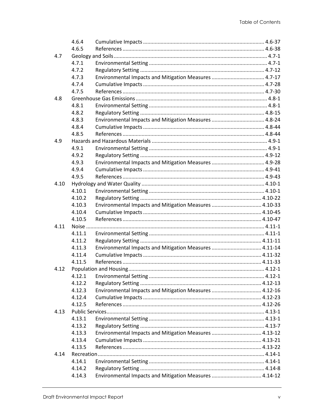|      | 4.6.4  |                                                        |  |
|------|--------|--------------------------------------------------------|--|
|      | 4.6.5  |                                                        |  |
| 4.7  |        |                                                        |  |
|      | 4.7.1  |                                                        |  |
|      | 4.7.2  |                                                        |  |
|      | 4.7.3  | Environmental Impacts and Mitigation Measures  4.7-17  |  |
|      | 4.7.4  |                                                        |  |
|      | 4.7.5  |                                                        |  |
| 4.8  |        |                                                        |  |
|      | 4.8.1  |                                                        |  |
|      | 4.8.2  |                                                        |  |
|      | 4.8.3  | Environmental Impacts and Mitigation Measures  4.8-24  |  |
|      | 4.8.4  |                                                        |  |
|      | 4.8.5  |                                                        |  |
| 4.9  |        |                                                        |  |
|      | 4.9.1  |                                                        |  |
|      | 4.9.2  |                                                        |  |
|      | 4.9.3  | Environmental Impacts and Mitigation Measures  4.9-28  |  |
|      | 4.9.4  |                                                        |  |
|      | 4.9.5  |                                                        |  |
| 4.10 |        |                                                        |  |
|      | 4.10.1 |                                                        |  |
|      | 4.10.2 |                                                        |  |
|      | 4.10.3 | Environmental Impacts and Mitigation Measures  4.10-33 |  |
|      | 4.10.4 |                                                        |  |
|      | 4.10.5 |                                                        |  |
| 4.11 |        |                                                        |  |
|      | 4.11.1 |                                                        |  |
|      | 4.11.2 |                                                        |  |
|      | 4.11.3 | Environmental Impacts and Mitigation Measures  4.11-14 |  |
|      | 4.11.4 |                                                        |  |
|      | 4.11.5 |                                                        |  |
| 4.12 |        |                                                        |  |
|      |        |                                                        |  |
|      | 4.12.2 |                                                        |  |
|      | 4.12.3 | Environmental Impacts and Mitigation Measures  4.12-16 |  |
|      | 4.12.4 |                                                        |  |
|      | 4.12.5 |                                                        |  |
| 4.13 |        |                                                        |  |
|      | 4.13.1 |                                                        |  |
|      | 4.13.2 |                                                        |  |
|      | 4.13.3 | Environmental Impacts and Mitigation Measures  4.13-12 |  |
|      | 4.13.4 |                                                        |  |
|      | 4.13.5 |                                                        |  |
| 4.14 |        |                                                        |  |
|      | 4.14.1 |                                                        |  |
|      | 4.14.2 |                                                        |  |
|      | 4.14.3 | Environmental Impacts and Mitigation Measures  4.14-12 |  |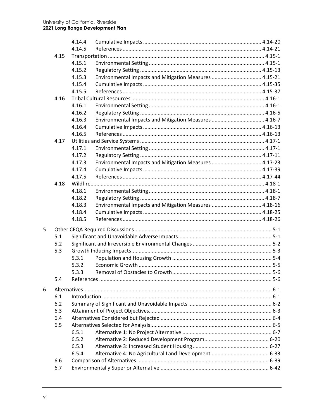|   |      | 4.14.4         |                                                        |  |
|---|------|----------------|--------------------------------------------------------|--|
|   |      | 4.14.5         |                                                        |  |
|   | 4.15 |                |                                                        |  |
|   |      | 4.15.1         |                                                        |  |
|   |      | 4.15.2         |                                                        |  |
|   |      | 4.15.3         | Environmental Impacts and Mitigation Measures  4.15-21 |  |
|   |      | 4.15.4         |                                                        |  |
|   |      | 4.15.5         |                                                        |  |
|   | 4.16 |                |                                                        |  |
|   |      | 4.16.1         |                                                        |  |
|   |      | 4.16.2         |                                                        |  |
|   |      | 4.16.3         | Environmental Impacts and Mitigation Measures  4.16-7  |  |
|   |      | 4.16.4         |                                                        |  |
|   |      | 4.16.5         |                                                        |  |
|   | 4.17 |                |                                                        |  |
|   |      | 4.17.1         |                                                        |  |
|   |      | 4.17.2         |                                                        |  |
|   |      | 4.17.3         | Environmental Impacts and Mitigation Measures  4.17-23 |  |
|   |      | 4.17.4         |                                                        |  |
|   |      | 4.17.5         |                                                        |  |
|   | 4.18 |                |                                                        |  |
|   |      | 4.18.1         |                                                        |  |
|   |      | 4.18.2         |                                                        |  |
|   |      | 4.18.3         | Environmental Impacts and Mitigation Measures  4.18-16 |  |
|   |      | 4.18.4         |                                                        |  |
|   |      | 4.18.5         |                                                        |  |
| 5 |      |                |                                                        |  |
|   | 5.1  |                |                                                        |  |
|   | 5.2  |                |                                                        |  |
|   | 5.3  |                |                                                        |  |
|   |      | 5.3.1          |                                                        |  |
|   |      | 5.3.2          |                                                        |  |
|   |      | 5.3.3          |                                                        |  |
|   | 5.4  |                |                                                        |  |
|   |      |                |                                                        |  |
| 6 | 6.1  |                |                                                        |  |
|   | 6.2  |                |                                                        |  |
|   | 6.3  |                |                                                        |  |
|   | 6.4  |                |                                                        |  |
|   | 6.5  |                |                                                        |  |
|   |      | 6.5.1          |                                                        |  |
|   |      |                |                                                        |  |
|   |      | 6.5.2<br>6.5.3 |                                                        |  |
|   |      | 6.5.4          |                                                        |  |
|   | 6.6  |                |                                                        |  |
|   | 6.7  |                |                                                        |  |
|   |      |                |                                                        |  |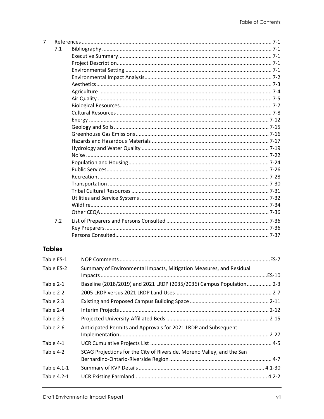| 7 |               |  |
|---|---------------|--|
|   | 7.1           |  |
|   |               |  |
|   |               |  |
|   |               |  |
|   |               |  |
|   |               |  |
|   |               |  |
|   |               |  |
|   |               |  |
|   |               |  |
|   |               |  |
|   |               |  |
|   |               |  |
|   |               |  |
|   |               |  |
|   |               |  |
|   |               |  |
|   |               |  |
|   |               |  |
|   |               |  |
|   |               |  |
|   |               |  |
|   |               |  |
|   |               |  |
|   | 7.2           |  |
|   |               |  |
|   |               |  |
|   |               |  |
|   | <b>Tables</b> |  |

| Table ES-1  |                                                                        |  |
|-------------|------------------------------------------------------------------------|--|
| Table ES-2  | Summary of Environmental Impacts, Mitigation Measures, and Residual    |  |
| Table 2-1   | Baseline (2018/2019) and 2021 LRDP (2035/2036) Campus Population 2-3   |  |
| Table 2-2   |                                                                        |  |
| Table 23    |                                                                        |  |
| Table 2-4   |                                                                        |  |
| Table 2-5   |                                                                        |  |
| Table 2-6   | Anticipated Permits and Approvals for 2021 LRDP and Subsequent         |  |
| Table 4-1   |                                                                        |  |
| Table 4-2   | SCAG Projections for the City of Riverside, Moreno Valley, and the San |  |
| Table 4.1-1 |                                                                        |  |
| Table 4.2-1 |                                                                        |  |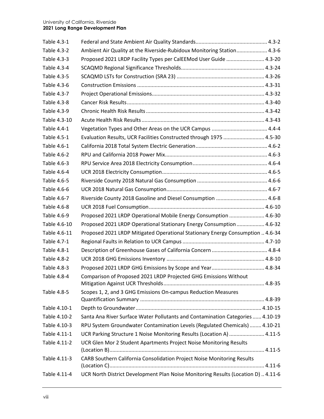| Table 4.3-1  |                                                                                   |
|--------------|-----------------------------------------------------------------------------------|
| Table 4.3-2  | Ambient Air Quality at the Riverside-Rubidoux Monitoring Station 4.3-6            |
| Table 4.3-3  | Proposed 2021 LRDP Facility Types per CalEEMod User Guide  4.3-20                 |
| Table 4.3-4  |                                                                                   |
| Table 4.3-5  |                                                                                   |
| Table 4.3-6  |                                                                                   |
| Table 4.3-7  |                                                                                   |
| Table 4.3-8  |                                                                                   |
| Table 4.3-9  |                                                                                   |
| Table 4.3-10 |                                                                                   |
| Table 4.4-1  |                                                                                   |
| Table 4.5-1  | Evaluation Results, UCR Facilities Constructed through 1975  4.5-30               |
| Table 4.6-1  |                                                                                   |
| Table 4.6-2  |                                                                                   |
| Table 4.6-3  |                                                                                   |
| Table 4.6-4  |                                                                                   |
| Table 4.6-5  |                                                                                   |
| Table 4.6-6  |                                                                                   |
| Table 4.6-7  | Riverside County 2018 Gasoline and Diesel Consumption  4.6-8                      |
| Table 4.6-8  |                                                                                   |
| Table 4.6-9  | Proposed 2021 LRDP Operational Mobile Energy Consumption  4.6-30                  |
| Table 4.6-10 | Proposed 2021 LRDP Operational Stationary Energy Consumption  4.6-32              |
| Table 4.6-11 | Proposed 2021 LRDP Mitigated Operational Stationary Energy Consumption  4.6-34    |
| Table 4.7-1  |                                                                                   |
| Table 4.8-1  |                                                                                   |
| Table 4.8-2  |                                                                                   |
| Table 4.8-3  |                                                                                   |
| Table 4.8-4  | Comparison of Proposed 2021 LRDP Projected GHG Emissions Without                  |
| Table 4.8-5  | Scopes 1, 2, and 3 GHG Emissions On-campus Reduction Measures                     |
| Table 4.10-1 |                                                                                   |
| Table 4.10-2 | Santa Ana River Surface Water Pollutants and Contamination Categories  4.10-19    |
| Table 4.10-3 | RPU System Groundwater Contamination Levels (Regulated Chemicals)  4.10-21        |
| Table 4.11-1 | UCR Parking Structure 1 Noise Monitoring Results (Location A)  4.11-5             |
| Table 4.11-2 | UCR Glen Mor 2 Student Apartments Project Noise Monitoring Results                |
| Table 4.11-3 | CARB Southern California Consolidation Project Noise Monitoring Results           |
| Table 4.11-4 | UCR North District Development Plan Noise Monitoring Results (Location D)  4.11-6 |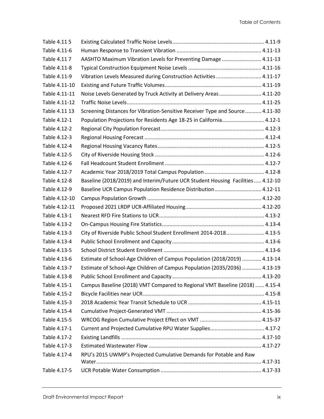| Table 4.11 5  |                                                                                 |  |
|---------------|---------------------------------------------------------------------------------|--|
| Table 4.11-6  |                                                                                 |  |
| Table 4.117   | AASHTO Maximum Vibration Levels for Preventing Damage  4.11-13                  |  |
| Table 4.11-8  |                                                                                 |  |
| Table 4.11-9  | Vibration Levels Measured during Construction Activities  4.11-17               |  |
| Table 4.11-10 |                                                                                 |  |
| Table 4.11-11 | Noise Levels Generated by Truck Activity at Delivery Areas 4.11-20              |  |
| Table 4.11-12 |                                                                                 |  |
| Table 4.11 13 | Screening Distances for Vibration-Sensitive Receiver Type and Source  4.11-30   |  |
| Table 4.12-1  | Population Projections for Residents Age 18-25 in California 4.12-1             |  |
| Table 4.12-2  |                                                                                 |  |
| Table 4.12-3  |                                                                                 |  |
| Table 4.12-4  |                                                                                 |  |
| Table 4.12-5  |                                                                                 |  |
| Table 4.12-6  |                                                                                 |  |
| Table 4.12-7  |                                                                                 |  |
| Table 4.12-8  | Baseline (2018/2019) and Interim/Future UCR Student Housing Facilities  4.12-10 |  |
| Table 4.12-9  | Baseline UCR Campus Population Residence Distribution 4.12-11                   |  |
| Table 4.12-10 |                                                                                 |  |
| Table 4.12-11 |                                                                                 |  |
| Table 4.13-1  |                                                                                 |  |
| Table 4.13-2  |                                                                                 |  |
| Table 4.13-3  | City of Riverside Public School Student Enrollment 2014-2018 4.13-5             |  |
| Table 4.13-4  |                                                                                 |  |
| Table 4.13-5  |                                                                                 |  |
| Table 4.13-6  | Estimate of School-Age Children of Campus Population (2018/2019)  4.13-14       |  |
| Table 4.13-7  | Estimate of School-Age Children of Campus Population (2035/2036)  4.13-19       |  |
| Table 4.13-8  |                                                                                 |  |
| Table 4.15-1  | Campus Baseline (2018) VMT Compared to Regional VMT Baseline (2018)  4.15-4     |  |
| Table 4.15-2  |                                                                                 |  |
| Table 4.15-3  |                                                                                 |  |
| Table 4.15-4  |                                                                                 |  |
| Table 4.15-5  |                                                                                 |  |
| Table 4.17-1  | Current and Projected Cumulative RPU Water Supplies 4.17-2                      |  |
| Table 4.17-2  |                                                                                 |  |
| Table 4.17-3  |                                                                                 |  |
| Table 4.17-4  | RPU's 2015 UWMP's Projected Cumulative Demands for Potable and Raw              |  |
| Table 4.17-5  |                                                                                 |  |
|               |                                                                                 |  |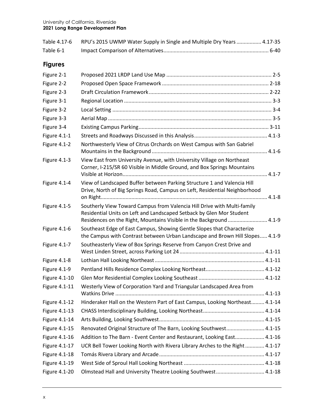|           | Table 4.17-6 RPU's 2015 UWMP Water Supply in Single and Multiple Dry Years  4.17-35 |
|-----------|-------------------------------------------------------------------------------------|
| Table 6-1 |                                                                                     |

### **Figures**

| Figure 2-1    |                                                                                                                                                                                                                        |  |
|---------------|------------------------------------------------------------------------------------------------------------------------------------------------------------------------------------------------------------------------|--|
| Figure 2-2    |                                                                                                                                                                                                                        |  |
| Figure 2-3    |                                                                                                                                                                                                                        |  |
| Figure 3-1    |                                                                                                                                                                                                                        |  |
| Figure 3-2    |                                                                                                                                                                                                                        |  |
| Figure 3-3    |                                                                                                                                                                                                                        |  |
| Figure 3-4    |                                                                                                                                                                                                                        |  |
| Figure 4.1-1  |                                                                                                                                                                                                                        |  |
| Figure 4.1-2  | Northwesterly View of Citrus Orchards on West Campus with San Gabriel                                                                                                                                                  |  |
| Figure 4.1-3  | View East from University Avenue, with University Village on Northeast<br>Corner, I-215/SR 60 Visible in Middle Ground, and Box Springs Mountains                                                                      |  |
| Figure 4.1-4  | View of Landscaped Buffer between Parking Structure 1 and Valencia Hill<br>Drive, North of Big Springs Road, Campus on Left, Residential Neighborhood                                                                  |  |
| Figure 4.1-5  | Southerly View Toward Campus from Valencia Hill Drive with Multi-family<br>Residential Units on Left and Landscaped Setback by Glen Mor Student<br>Residences on the Right, Mountains Visible in the Background  4.1-9 |  |
| Figure 4.1-6  | Southeast Edge of East Campus, Showing Gentle Slopes that Characterize<br>the Campus with Contrast between Urban Landscape and Brown Hill Slopes 4.1-9                                                                 |  |
| Figure 4.1-7  | Southeasterly View of Box Springs Reserve from Canyon Crest Drive and                                                                                                                                                  |  |
| Figure 4.1-8  |                                                                                                                                                                                                                        |  |
| Figure 4.1-9  |                                                                                                                                                                                                                        |  |
| Figure 4.1-10 |                                                                                                                                                                                                                        |  |
| Figure 4.1-11 | Westerly View of Corporation Yard and Triangular Landscaped Area from                                                                                                                                                  |  |
| Figure 4.1-12 | Hinderaker Hall on the Western Part of East Campus, Looking Northeast 4.1-14                                                                                                                                           |  |
| Figure 4.1-13 |                                                                                                                                                                                                                        |  |
| Figure 4.1-14 |                                                                                                                                                                                                                        |  |
| Figure 4.1-15 | Renovated Original Structure of The Barn, Looking Southwest 4.1-15                                                                                                                                                     |  |
| Figure 4.1-16 | Addition to The Barn - Event Center and Restaurant, Looking East 4.1-16                                                                                                                                                |  |
| Figure 4.1-17 | UCR Bell Tower Looking North with Rivera Library Arches to the Right  4.1-17                                                                                                                                           |  |
| Figure 4.1-18 |                                                                                                                                                                                                                        |  |
| Figure 4.1-19 |                                                                                                                                                                                                                        |  |
| Figure 4.1-20 | Olmstead Hall and University Theatre Looking Southwest 4.1-18                                                                                                                                                          |  |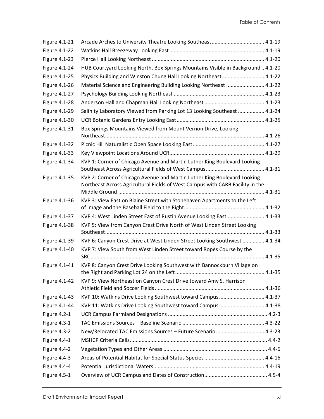| Figure 4.1-21        |                                                                                                                                                           |
|----------------------|-----------------------------------------------------------------------------------------------------------------------------------------------------------|
| <b>Figure 4.1-22</b> |                                                                                                                                                           |
| <b>Figure 4.1-23</b> |                                                                                                                                                           |
| <b>Figure 4.1-24</b> | HUB Courtyard Looking North, Box Springs Mountains Visible in Background  4.1-20                                                                          |
| Figure 4.1-25        | Physics Building and Winston Chung Hall Looking Northeast 4.1-22                                                                                          |
| Figure 4.1-26        | Material Science and Engineering Building Looking Northeast  4.1-22                                                                                       |
| Figure 4.1-27        |                                                                                                                                                           |
| Figure 4.1-28        |                                                                                                                                                           |
| Figure 4.1-29        | Salinity Laboratory Viewed from Parking Lot 13 Looking Southeast  4.1-24                                                                                  |
| Figure 4.1-30        |                                                                                                                                                           |
| Figure 4.1-31        | Box Springs Mountains Viewed from Mount Vernon Drive, Looking                                                                                             |
| Figure 4.1-32        |                                                                                                                                                           |
| Figure 4.1-33        |                                                                                                                                                           |
| Figure 4.1-34        | KVP 1: Corner of Chicago Avenue and Martin Luther King Boulevard Looking                                                                                  |
| Figure 4.1-35        | KVP 2: Corner of Chicago Avenue and Martin Luther King Boulevard Looking<br>Northeast Across Agricultural Fields of West Campus with CARB Facility in the |
| Figure 4.1-36        | KVP 3: View East on Blaine Street with Stonehaven Apartments to the Left                                                                                  |
| Figure 4.1-37        | KVP 4: West Linden Street East of Rustin Avenue Looking East 4.1-33                                                                                       |
| Figure 4.1-38        | KVP 5: View from Canyon Crest Drive North of West Linden Street Looking                                                                                   |
| Figure 4.1-39        | KVP 6: Canyon Crest Drive at West Linden Street Looking Southwest  4.1-34                                                                                 |
| Figure 4.1-40        | KVP 7: View South from West Linden Street toward Ropes Course by the                                                                                      |
| Figure 4.1-41        | KVP 8: Canyon Crest Drive Looking Southwest with Bannockburn Village on                                                                                   |
| Figure 4.1-42        | KVP 9: View Northeast on Canyon Crest Drive toward Amy S. Harrison                                                                                        |
| Figure 4.1-43        | KVP 10: Watkins Drive Looking Southwest toward Campus  4.1-37                                                                                             |
| Figure 4.1-44        | KVP 11: Watkins Drive Looking Southwest toward Campus  4.1-38                                                                                             |
| Figure 4.2-1         |                                                                                                                                                           |
| Figure 4.3-1         |                                                                                                                                                           |
| Figure 4.3-2         | New/Relocated TAC Emissions Sources - Future Scenario 4.3-23                                                                                              |
| Figure 4.4-1         |                                                                                                                                                           |
| Figure 4.4-2         |                                                                                                                                                           |
| Figure 4.4-3         |                                                                                                                                                           |
| Figure 4.4-4         |                                                                                                                                                           |
| Figure 4.5-1         |                                                                                                                                                           |
|                      |                                                                                                                                                           |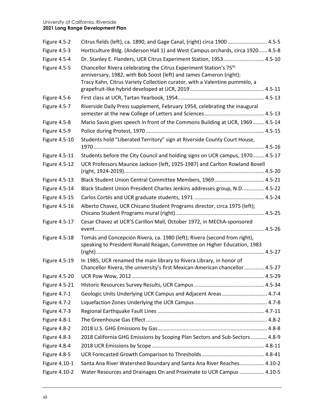| Figure 4.5-2         | Citrus fields (left), ca. 1890, and Gage Canal, (right) circa 1900  4.5-5                                                                                                                                                           |
|----------------------|-------------------------------------------------------------------------------------------------------------------------------------------------------------------------------------------------------------------------------------|
| Figure 4.5-3         | Horticulture Bldg. (Anderson Hall 1) and West Campus orchards, circa 1920 4.5-8                                                                                                                                                     |
| Figure 4.5-4         | Dr. Stanley E. Flanders, UCR Citrus Experiment Station, 1953 4.5-10                                                                                                                                                                 |
| Figure 4.5-5         | Chancellor Rivera celebrating the Citrus Experiment Station's 75 <sup>th</sup><br>anniversary, 1982, with Bob Soost (left) and James Cameron (right);<br>Tracy Kahn, Citrus Variety Collection curator, with a Valentine pummelo, a |
| Figure 4.5-6         |                                                                                                                                                                                                                                     |
| Figure 4.5-7         | Riverside Daily Press supplement, February 1954, celebrating the inaugural                                                                                                                                                          |
| Figure 4.5-8         | Mario Savio gives speech in front of the Commons Building at UCR, 1969 4.5-14                                                                                                                                                       |
| Figure 4.5-9         |                                                                                                                                                                                                                                     |
| <b>Figure 4.5-10</b> | Students hold "Liberated Territory" sign at Riverside County Court House,                                                                                                                                                           |
| Figure 4.5-11        | Students before the City Council and holding signs on UCR campus, 1970 4.5-17                                                                                                                                                       |
| <b>Figure 4.5-12</b> | UCR Professors Maurice Jackson (left, 1925-1987) and Carlton Rowland Bovell                                                                                                                                                         |
| Figure 4.5-13        | Black Student Union Central Committee Members, 1969 4.5-21                                                                                                                                                                          |
| Figure 4.5-14        | Black Student Union President Charles Jenkins addresses group, N.D 4.5-22                                                                                                                                                           |
| <b>Figure 4.5-15</b> |                                                                                                                                                                                                                                     |
| Figure 4.5-16        | Alberto Chavez, UCR Chicano Student Programs director, circa 1975 (left);                                                                                                                                                           |
| Figure 4.5-17        | Cesar Chavez at UCR'S Carillon Mall, October 1972, in MEChA-sponsored                                                                                                                                                               |
| <b>Figure 4.5-18</b> | Tomás and Concepción Rivera, ca. 1980 (left); Rivera (second from right),<br>speaking to President Ronald Reagan, Committee on Higher Education, 1983                                                                               |
| Figure 4.5-19        | In 1985, UCR renamed the main library to Rivera Library, in honor of<br>Chancellor Rivera, the university's first Mexican-American chancellor 4.5-27                                                                                |
|                      |                                                                                                                                                                                                                                     |
| <b>Figure 4.5-21</b> |                                                                                                                                                                                                                                     |
| Figure 4.7-1         | Geologic Units Underlying UCR Campus and Adjacent Areas  4.7-4                                                                                                                                                                      |
| Figure 4.7-2         |                                                                                                                                                                                                                                     |
| Figure 4.7-3         |                                                                                                                                                                                                                                     |
| Figure 4.8-1         |                                                                                                                                                                                                                                     |
| Figure 4.8-2         |                                                                                                                                                                                                                                     |
| Figure 4.8-3         | 2018 California GHG Emissions by Scoping Plan Sectors and Sub-Sectors  4.8-9                                                                                                                                                        |
| Figure 4.8-4         |                                                                                                                                                                                                                                     |
| Figure 4.8-5         |                                                                                                                                                                                                                                     |
| Figure 4.10-1        | Santa Ana River Watershed Boundary and Santa Ana River Reaches 4.10-2                                                                                                                                                               |
| Figure 4.10-2        | Water Resources and Drainages On and Proximate to UCR Campus  4.10-5                                                                                                                                                                |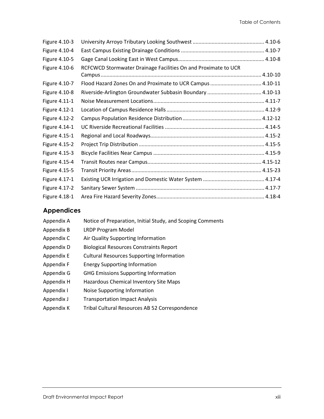| Figure 4.10-3 |                                                                |  |
|---------------|----------------------------------------------------------------|--|
| Figure 4.10-4 |                                                                |  |
| Figure 4.10-5 |                                                                |  |
| Figure 4.10-6 | RCFCWCD Stormwater Drainage Facilities On and Proximate to UCR |  |
|               |                                                                |  |
| Figure 4.10-7 | Flood Hazard Zones On and Proximate to UCR Campus  4.10-11     |  |
| Figure 4.10-8 |                                                                |  |
| Figure 4.11-1 |                                                                |  |
| Figure 4.12-1 |                                                                |  |
| Figure 4.12-2 |                                                                |  |
| Figure 4.14-1 |                                                                |  |
| Figure 4.15-1 |                                                                |  |
| Figure 4.15-2 |                                                                |  |
| Figure 4.15-3 |                                                                |  |
| Figure 4.15-4 |                                                                |  |
| Figure 4.15-5 |                                                                |  |
| Figure 4.17-1 |                                                                |  |
| Figure 4.17-2 |                                                                |  |
| Figure 4.18-1 |                                                                |  |

### **Appendices**

| Appendix A | Notice of Preparation, Initial Study, and Scoping Comments |
|------------|------------------------------------------------------------|
| Appendix B | <b>LRDP Program Model</b>                                  |
| Appendix C | Air Quality Supporting Information                         |
| Appendix D | <b>Biological Resources Constraints Report</b>             |
| Appendix E | <b>Cultural Resources Supporting Information</b>           |
| Appendix F | <b>Energy Supporting Information</b>                       |
| Appendix G | <b>GHG Emissions Supporting Information</b>                |
| Appendix H | Hazardous Chemical Inventory Site Maps                     |
| Appendix I | Noise Supporting Information                               |
| Appendix J | <b>Transportation Impact Analysis</b>                      |
| Appendix K | Tribal Cultural Resources AB 52 Correspondence             |